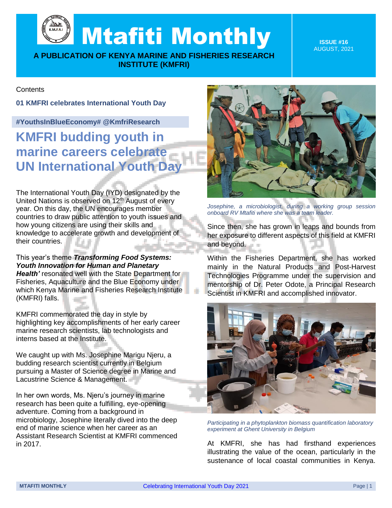Mtafiti Monthly

**A PUBLICATION OF KENYA MARINE AND FISHERIES RESEARCH INSTITUTE (KMFRI)**

**ISSUE #16** AUGUST, 2021

### **Contents**

#### **01 KMFRI celebrates International Youth Day**

### **#YouthsInBlueEconomy# @KmfriResearch**

**KMFRI budding youth in marine careers celebrate UN International Youth Day** 

The International Youth Day (IYD) designated by the United Nations is observed on 12<sup>th</sup> August of every year. On this day, the UN encourages member countries to draw public attention to youth issues and how young citizens are using their skills and knowledge to accelerate growth and development of their countries.

This year's theme *Transforming Food Systems: Youth Innovation for Human and Planetary*  **Health'** resonated well with the State Department for Fisheries, Aquaculture and the Blue Economy under which Kenya Marine and Fisheries Research Institute (KMFRI) falls.

KMFRI commemorated the day in style by highlighting key accomplishments of her early career marine research scientists, lab technologists and interns based at the Institute.

We caught up with Ms. Josephine Marigu Njeru, a budding research scientist currently in Belgium pursuing a Master of Science degree in Marine and Lacustrine Science & Management.

In her own words, Ms. Njeru's journey in marine research has been quite a fulfilling, eye-opening adventure. Coming from a background in microbiology, Josephine literally dived into the deep end of marine science when her career as an Assistant Research Scientist at KMFRI commenced in 2017.



*Josephine, a microbiologist, during a working group session onboard RV Mtafiti where she was a team leader.*

Since then, she has grown in leaps and bounds from her exposure to different aspects of this field at KMFRI and beyond.

Within the Fisheries Department, she has worked mainly in the Natural Products and Post-Harvest Technologies Programme under the supervision and mentorship of Dr. Peter Odote, a Principal Research Scientist in KMFRI and accomplished innovator.



*Participating in a phytoplankton biomass quantification laboratory experiment at Ghent University in Belgium*

At KMFRI, she has had firsthand experiences illustrating the value of the ocean, particularly in the sustenance of local coastal communities in Kenya.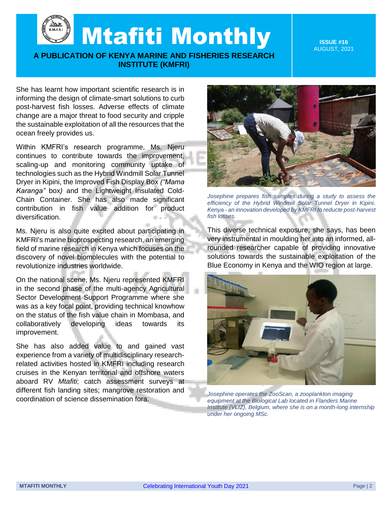Mtafiti Monthly

# **A PUBLICATION OF KENYA MARINE AND FISHERIES RESEARCH INSTITUTE (KMFRI)**

**ISSUE #16** AUGUST, 2021

She has learnt how important scientific research is in informing the design of climate-smart solutions to curb post-harvest fish losses. Adverse effects of climate change are a major threat to food security and cripple the sustainable exploitation of all the resources that the ocean freely provides us.

Within KMFRI's research programme, Ms. Njeru continues to contribute towards the improvement, scaling-up and monitoring community uptake of technologies such as the Hybrid Windmill Solar Tunnel Dryer in Kipini, the Improved Fish Display Box *("Mama Karanga"* box*)* and the Lightweight Insulated Cold-Chain Container. She has also made significant contribution in fish value addition for product diversification.

Ms. Njeru is also quite excited about participating in KMFRI's marine bioprospecting research, an emerging field of marine research in Kenya which focuses on the discovery of novel biomolecules with the potential to revolutionize industries worldwide.

On the national scene, Ms. Njeru represented KMFRI in the second phase of the multi-agency Agricultural Sector Development Support Programme where she was as a key focal point, providing technical knowhow on the status of the fish value chain in Mombasa, and collaboratively developing ideas towards its improvement.

She has also added value to and gained vast experience from a variety of multidisciplinary researchrelated activities hosted in KMFRI including research cruises in the Kenyan territorial and offshore waters aboard RV *Mtafiti*; catch assessment surveys at different fish landing sites; mangrove restoration and coordination of science dissemination fora.



*Josephine prepares fish samples during a study to assess the efficiency of the Hybrid Windmill Solar Tunnel Dryer in Kipini, Kenya - an innovation developed by KMFRI to reducte post-harvest fish losses.*

This diverse technical exposure, she says, has been very instrumental in moulding her into an informed, allrounded researcher capable of providing innovative solutions towards the sustainable exploitation of the Blue Economy in Kenya and the WIO region at large.



*Josephine operates the ZooScan, a zooplankton imaging equipment at the Biological Lab located in Flanders Marine Institute (VLIZ), Belgium, where she is on a month-long internship under her ongoing MSc.*